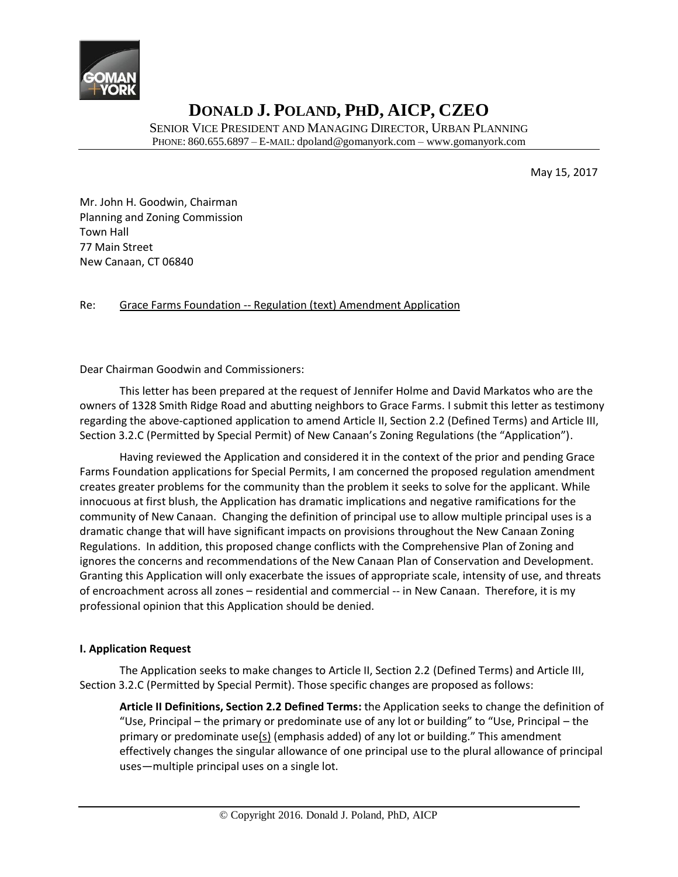

SENIOR VICE PRESIDENT AND MANAGING DIRECTOR, URBAN PLANNING PHONE: 860.655.6897 – E-MAIL: dpoland@gomanyork.com – www.gomanyork.com

May 15, 2017

Mr. John H. Goodwin, Chairman Planning and Zoning Commission Town Hall 77 Main Street New Canaan, CT 06840

#### Re: Grace Farms Foundation -- Regulation (text) Amendment Application

Dear Chairman Goodwin and Commissioners:

This letter has been prepared at the request of Jennifer Holme and David Markatos who are the owners of 1328 Smith Ridge Road and abutting neighbors to Grace Farms. I submit this letter as testimony regarding the above-captioned application to amend Article II, Section 2.2 (Defined Terms) and Article III, Section 3.2.C (Permitted by Special Permit) of New Canaan's Zoning Regulations (the "Application").

Having reviewed the Application and considered it in the context of the prior and pending Grace Farms Foundation applications for Special Permits, I am concerned the proposed regulation amendment creates greater problems for the community than the problem it seeks to solve for the applicant. While innocuous at first blush, the Application has dramatic implications and negative ramifications for the community of New Canaan. Changing the definition of principal use to allow multiple principal uses is a dramatic change that will have significant impacts on provisions throughout the New Canaan Zoning Regulations. In addition, this proposed change conflicts with the Comprehensive Plan of Zoning and ignores the concerns and recommendations of the New Canaan Plan of Conservation and Development. Granting this Application will only exacerbate the issues of appropriate scale, intensity of use, and threats of encroachment across all zones – residential and commercial -- in New Canaan. Therefore, it is my professional opinion that this Application should be denied.

#### **I. Application Request**

The Application seeks to make changes to Article II, Section 2.2 (Defined Terms) and Article III, Section 3.2.C (Permitted by Special Permit). Those specific changes are proposed as follows:

**Article II Definitions, Section 2.2 Defined Terms:** the Application seeks to change the definition of "Use, Principal – the primary or predominate use of any lot or building" to "Use, Principal – the primary or predominate use( $s$ ) (emphasis added) of any lot or building." This amendment effectively changes the singular allowance of one principal use to the plural allowance of principal uses—multiple principal uses on a single lot.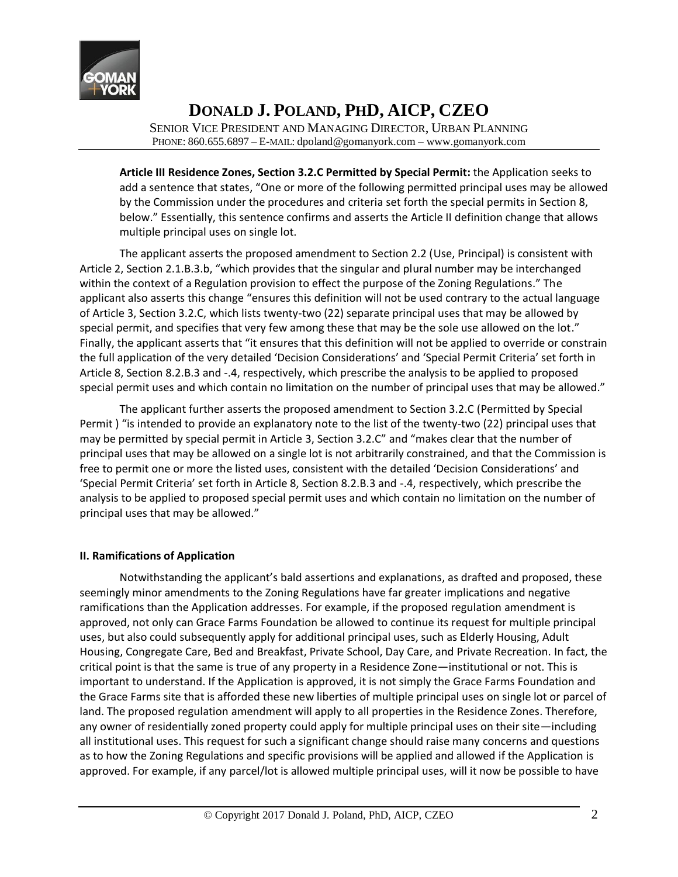

SENIOR VICE PRESIDENT AND MANAGING DIRECTOR, URBAN PLANNING PHONE: 860.655.6897 – E-MAIL: dpoland@gomanyork.com – www.gomanyork.com

**Article III Residence Zones, Section 3.2.C Permitted by Special Permit:** the Application seeks to add a sentence that states, "One or more of the following permitted principal uses may be allowed by the Commission under the procedures and criteria set forth the special permits in Section 8, below." Essentially, this sentence confirms and asserts the Article II definition change that allows multiple principal uses on single lot.

The applicant asserts the proposed amendment to Section 2.2 (Use, Principal) is consistent with Article 2, Section 2.1.B.3.b, "which provides that the singular and plural number may be interchanged within the context of a Regulation provision to effect the purpose of the Zoning Regulations." The applicant also asserts this change "ensures this definition will not be used contrary to the actual language of Article 3, Section 3.2.C, which lists twenty-two (22) separate principal uses that may be allowed by special permit, and specifies that very few among these that may be the sole use allowed on the lot." Finally, the applicant asserts that "it ensures that this definition will not be applied to override or constrain the full application of the very detailed 'Decision Considerations' and 'Special Permit Criteria' set forth in Article 8, Section 8.2.B.3 and -.4, respectively, which prescribe the analysis to be applied to proposed special permit uses and which contain no limitation on the number of principal uses that may be allowed."

The applicant further asserts the proposed amendment to Section 3.2.C (Permitted by Special Permit ) "is intended to provide an explanatory note to the list of the twenty-two (22) principal uses that may be permitted by special permit in Article 3, Section 3.2.C" and "makes clear that the number of principal uses that may be allowed on a single lot is not arbitrarily constrained, and that the Commission is free to permit one or more the listed uses, consistent with the detailed 'Decision Considerations' and 'Special Permit Criteria' set forth in Article 8, Section 8.2.B.3 and -.4, respectively, which prescribe the analysis to be applied to proposed special permit uses and which contain no limitation on the number of principal uses that may be allowed."

#### **II. Ramifications of Application**

Notwithstanding the applicant's bald assertions and explanations, as drafted and proposed, these seemingly minor amendments to the Zoning Regulations have far greater implications and negative ramifications than the Application addresses. For example, if the proposed regulation amendment is approved, not only can Grace Farms Foundation be allowed to continue its request for multiple principal uses, but also could subsequently apply for additional principal uses, such as Elderly Housing, Adult Housing, Congregate Care, Bed and Breakfast, Private School, Day Care, and Private Recreation. In fact, the critical point is that the same is true of any property in a Residence Zone—institutional or not. This is important to understand. If the Application is approved, it is not simply the Grace Farms Foundation and the Grace Farms site that is afforded these new liberties of multiple principal uses on single lot or parcel of land. The proposed regulation amendment will apply to all properties in the Residence Zones. Therefore, any owner of residentially zoned property could apply for multiple principal uses on their site—including all institutional uses. This request for such a significant change should raise many concerns and questions as to how the Zoning Regulations and specific provisions will be applied and allowed if the Application is approved. For example, if any parcel/lot is allowed multiple principal uses, will it now be possible to have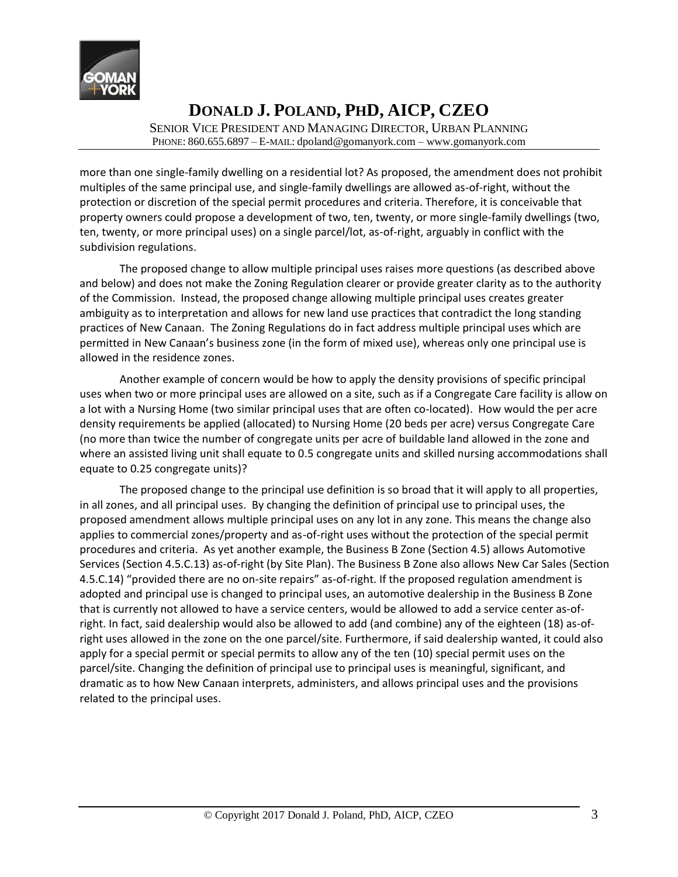

SENIOR VICE PRESIDENT AND MANAGING DIRECTOR, URBAN PLANNING PHONE: 860.655.6897 – E-MAIL: dpoland@gomanyork.com – www.gomanyork.com

more than one single-family dwelling on a residential lot? As proposed, the amendment does not prohibit multiples of the same principal use, and single-family dwellings are allowed as-of-right, without the protection or discretion of the special permit procedures and criteria. Therefore, it is conceivable that property owners could propose a development of two, ten, twenty, or more single-family dwellings (two, ten, twenty, or more principal uses) on a single parcel/lot, as-of-right, arguably in conflict with the subdivision regulations.

The proposed change to allow multiple principal uses raises more questions (as described above and below) and does not make the Zoning Regulation clearer or provide greater clarity as to the authority of the Commission. Instead, the proposed change allowing multiple principal uses creates greater ambiguity as to interpretation and allows for new land use practices that contradict the long standing practices of New Canaan. The Zoning Regulations do in fact address multiple principal uses which are permitted in New Canaan's business zone (in the form of mixed use), whereas only one principal use is allowed in the residence zones.

Another example of concern would be how to apply the density provisions of specific principal uses when two or more principal uses are allowed on a site, such as if a Congregate Care facility is allow on a lot with a Nursing Home (two similar principal uses that are often co-located). How would the per acre density requirements be applied (allocated) to Nursing Home (20 beds per acre) versus Congregate Care (no more than twice the number of congregate units per acre of buildable land allowed in the zone and where an assisted living unit shall equate to 0.5 congregate units and skilled nursing accommodations shall equate to 0.25 congregate units)?

The proposed change to the principal use definition is so broad that it will apply to all properties, in all zones, and all principal uses. By changing the definition of principal use to principal uses, the proposed amendment allows multiple principal uses on any lot in any zone. This means the change also applies to commercial zones/property and as-of-right uses without the protection of the special permit procedures and criteria. As yet another example, the Business B Zone (Section 4.5) allows Automotive Services (Section 4.5.C.13) as-of-right (by Site Plan). The Business B Zone also allows New Car Sales (Section 4.5.C.14) "provided there are no on-site repairs" as-of-right. If the proposed regulation amendment is adopted and principal use is changed to principal uses, an automotive dealership in the Business B Zone that is currently not allowed to have a service centers, would be allowed to add a service center as-ofright. In fact, said dealership would also be allowed to add (and combine) any of the eighteen (18) as-ofright uses allowed in the zone on the one parcel/site. Furthermore, if said dealership wanted, it could also apply for a special permit or special permits to allow any of the ten (10) special permit uses on the parcel/site. Changing the definition of principal use to principal uses is meaningful, significant, and dramatic as to how New Canaan interprets, administers, and allows principal uses and the provisions related to the principal uses.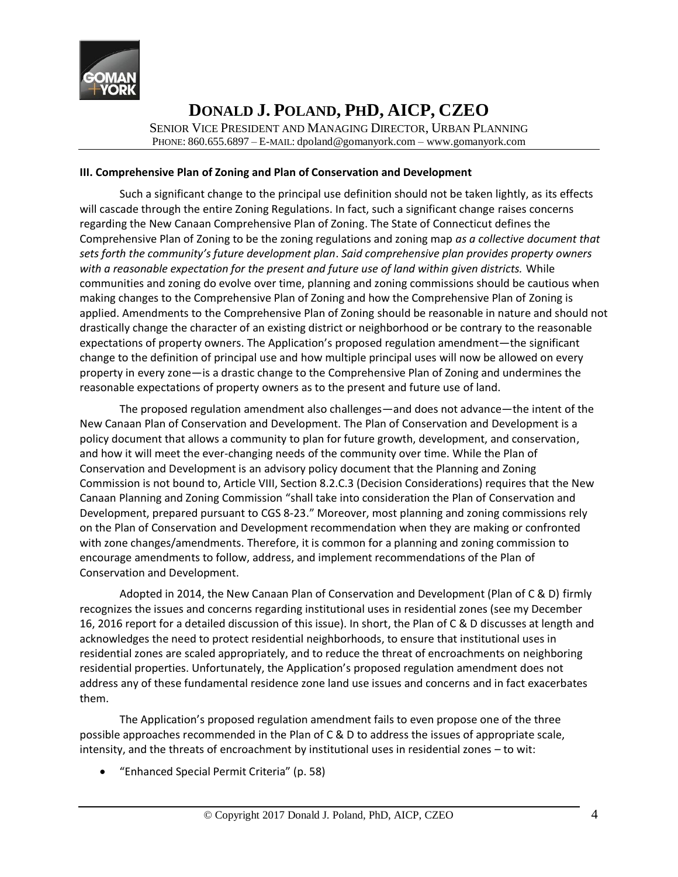

SENIOR VICE PRESIDENT AND MANAGING DIRECTOR, URBAN PLANNING PHONE: 860.655.6897 – E-MAIL: dpoland@gomanyork.com – www.gomanyork.com

#### **III. Comprehensive Plan of Zoning and Plan of Conservation and Development**

Such a significant change to the principal use definition should not be taken lightly, as its effects will cascade through the entire Zoning Regulations. In fact, such a significant change raises concerns regarding the New Canaan Comprehensive Plan of Zoning. The State of Connecticut defines the Comprehensive Plan of Zoning to be the zoning regulations and zoning map *as a collective document that sets forth the community's future development plan*. *Said comprehensive plan provides property owners with a reasonable expectation for the present and future use of land within given districts.* While communities and zoning do evolve over time, planning and zoning commissions should be cautious when making changes to the Comprehensive Plan of Zoning and how the Comprehensive Plan of Zoning is applied. Amendments to the Comprehensive Plan of Zoning should be reasonable in nature and should not drastically change the character of an existing district or neighborhood or be contrary to the reasonable expectations of property owners. The Application's proposed regulation amendment—the significant change to the definition of principal use and how multiple principal uses will now be allowed on every property in every zone—is a drastic change to the Comprehensive Plan of Zoning and undermines the reasonable expectations of property owners as to the present and future use of land.

The proposed regulation amendment also challenges—and does not advance—the intent of the New Canaan Plan of Conservation and Development. The Plan of Conservation and Development is a policy document that allows a community to plan for future growth, development, and conservation, and how it will meet the ever-changing needs of the community over time. While the Plan of Conservation and Development is an advisory policy document that the Planning and Zoning Commission is not bound to, Article VIII, Section 8.2.C.3 (Decision Considerations) requires that the New Canaan Planning and Zoning Commission "shall take into consideration the Plan of Conservation and Development, prepared pursuant to CGS 8-23." Moreover, most planning and zoning commissions rely on the Plan of Conservation and Development recommendation when they are making or confronted with zone changes/amendments. Therefore, it is common for a planning and zoning commission to encourage amendments to follow, address, and implement recommendations of the Plan of Conservation and Development.

Adopted in 2014, the New Canaan Plan of Conservation and Development (Plan of C & D) firmly recognizes the issues and concerns regarding institutional uses in residential zones (see my December 16, 2016 report for a detailed discussion of this issue). In short, the Plan of C & D discusses at length and acknowledges the need to protect residential neighborhoods, to ensure that institutional uses in residential zones are scaled appropriately, and to reduce the threat of encroachments on neighboring residential properties. Unfortunately, the Application's proposed regulation amendment does not address any of these fundamental residence zone land use issues and concerns and in fact exacerbates them.

The Application's proposed regulation amendment fails to even propose one of the three possible approaches recommended in the Plan of C & D to address the issues of appropriate scale, intensity, and the threats of encroachment by institutional uses in residential zones – to wit:

• "Enhanced Special Permit Criteria" (p. 58)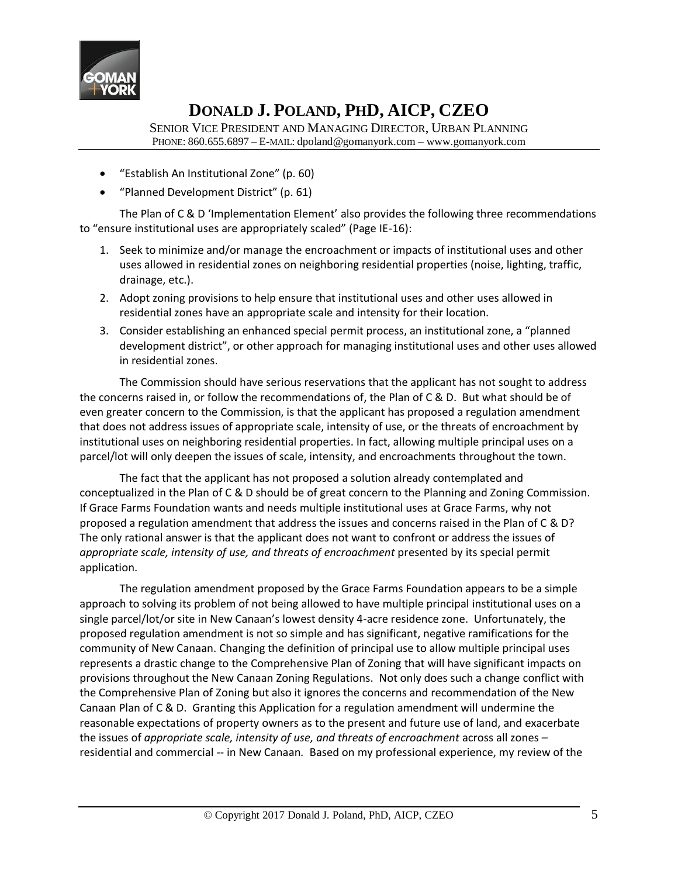

SENIOR VICE PRESIDENT AND MANAGING DIRECTOR, URBAN PLANNING PHONE: 860.655.6897 – E-MAIL: dpoland@gomanyork.com – www.gomanyork.com

- "Establish An Institutional Zone" (p. 60)
- "Planned Development District" (p. 61)

The Plan of C & D 'Implementation Element' also provides the following three recommendations to "ensure institutional uses are appropriately scaled" (Page IE-16):

- 1. Seek to minimize and/or manage the encroachment or impacts of institutional uses and other uses allowed in residential zones on neighboring residential properties (noise, lighting, traffic, drainage, etc.).
- 2. Adopt zoning provisions to help ensure that institutional uses and other uses allowed in residential zones have an appropriate scale and intensity for their location.
- 3. Consider establishing an enhanced special permit process, an institutional zone, a "planned development district", or other approach for managing institutional uses and other uses allowed in residential zones.

The Commission should have serious reservations that the applicant has not sought to address the concerns raised in, or follow the recommendations of, the Plan of C & D. But what should be of even greater concern to the Commission, is that the applicant has proposed a regulation amendment that does not address issues of appropriate scale, intensity of use, or the threats of encroachment by institutional uses on neighboring residential properties. In fact, allowing multiple principal uses on a parcel/lot will only deepen the issues of scale, intensity, and encroachments throughout the town.

The fact that the applicant has not proposed a solution already contemplated and conceptualized in the Plan of C & D should be of great concern to the Planning and Zoning Commission. If Grace Farms Foundation wants and needs multiple institutional uses at Grace Farms, why not proposed a regulation amendment that address the issues and concerns raised in the Plan of C & D? The only rational answer is that the applicant does not want to confront or address the issues of *appropriate scale, intensity of use, and threats of encroachment* presented by its special permit application.

The regulation amendment proposed by the Grace Farms Foundation appears to be a simple approach to solving its problem of not being allowed to have multiple principal institutional uses on a single parcel/lot/or site in New Canaan's lowest density 4-acre residence zone. Unfortunately, the proposed regulation amendment is not so simple and has significant, negative ramifications for the community of New Canaan. Changing the definition of principal use to allow multiple principal uses represents a drastic change to the Comprehensive Plan of Zoning that will have significant impacts on provisions throughout the New Canaan Zoning Regulations. Not only does such a change conflict with the Comprehensive Plan of Zoning but also it ignores the concerns and recommendation of the New Canaan Plan of C & D. Granting this Application for a regulation amendment will undermine the reasonable expectations of property owners as to the present and future use of land, and exacerbate the issues of *appropriate scale, intensity of use, and threats of encroachment* across all zones – residential and commercial -- in New Canaan*.* Based on my professional experience, my review of the